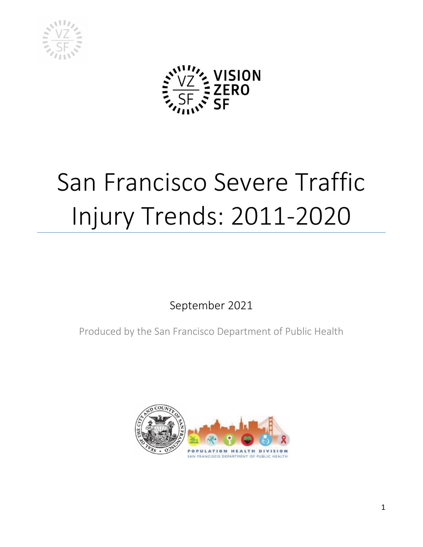



# San Francisco Severe Traffic Injury Trends: 2011-2020

September 2021

Produced by the San Francisco Department of Public Health

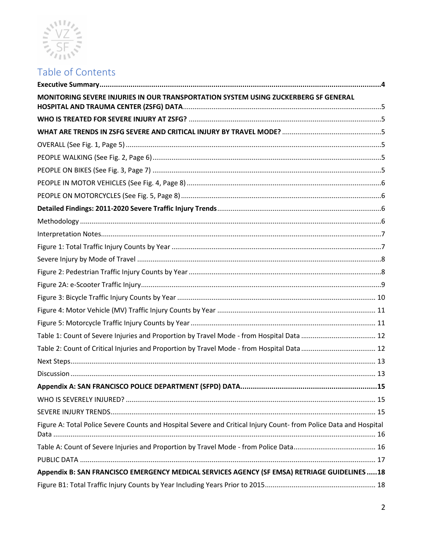

# Table of Contents

| MONITORING SEVERE INJURIES IN OUR TRANSPORTATION SYSTEM USING ZUCKERBERG SF GENERAL                               |  |
|-------------------------------------------------------------------------------------------------------------------|--|
|                                                                                                                   |  |
|                                                                                                                   |  |
|                                                                                                                   |  |
|                                                                                                                   |  |
|                                                                                                                   |  |
|                                                                                                                   |  |
|                                                                                                                   |  |
|                                                                                                                   |  |
|                                                                                                                   |  |
|                                                                                                                   |  |
|                                                                                                                   |  |
|                                                                                                                   |  |
|                                                                                                                   |  |
|                                                                                                                   |  |
|                                                                                                                   |  |
|                                                                                                                   |  |
|                                                                                                                   |  |
|                                                                                                                   |  |
| Table 2: Count of Critical Injuries and Proportion by Travel Mode - from Hospital Data  12                        |  |
|                                                                                                                   |  |
|                                                                                                                   |  |
|                                                                                                                   |  |
|                                                                                                                   |  |
|                                                                                                                   |  |
| Figure A: Total Police Severe Counts and Hospital Severe and Critical Injury Count- from Police Data and Hospital |  |
|                                                                                                                   |  |
|                                                                                                                   |  |
| Appendix B: SAN FRANCISCO EMERGENCY MEDICAL SERVICES AGENCY (SF EMSA) RETRIAGE GUIDELINES  18                     |  |
|                                                                                                                   |  |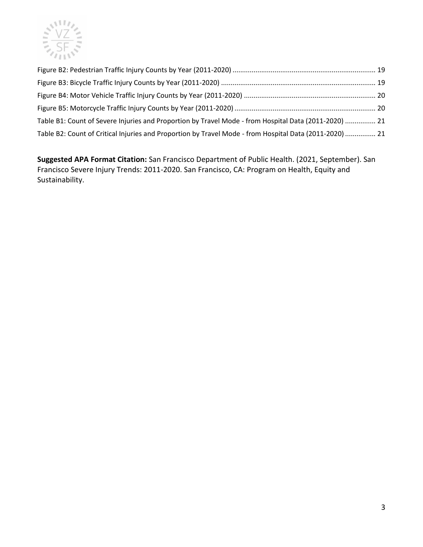

| Table B1: Count of Severe Injuries and Proportion by Travel Mode - from Hospital Data (2011-2020)  21   |  |
|---------------------------------------------------------------------------------------------------------|--|
| Table B2: Count of Critical Injuries and Proportion by Travel Mode - from Hospital Data (2011-2020)  21 |  |

**Suggested APA Format Citation:** San Francisco Department of Public Health. (2021, September). San Francisco Severe Injury Trends: 2011-2020. San Francisco, CA: Program on Health, Equity and Sustainability.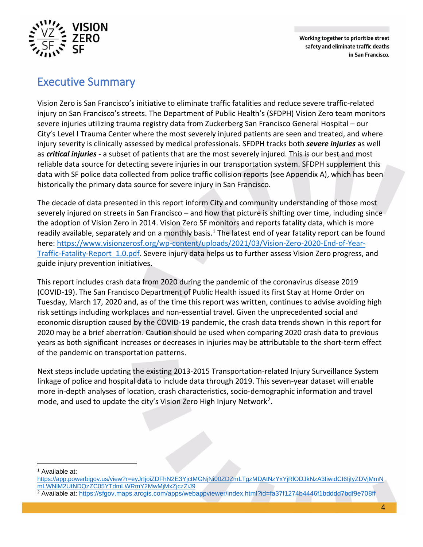

Working together to prioritize street safety and eliminate traffic deaths in San Francisco.

# Executive Summary

Vision Zero is San Francisco's initiative to eliminate traffic fatalities and reduce severe traffic-related injury on San Francisco's streets. The Department of Public Health's (SFDPH) Vision Zero team monitors severe injuries utilizing trauma registry data from Zuckerberg San Francisco General Hospital – our City's Level I Trauma Center where the most severely injured patients are seen and treated, and where injury severity is clinically assessed by medical professionals. SFDPH tracks both *severe injuries* as well as *critical injuries* - a subset of patients that are the most severely injured. This is our best and most reliable data source for detecting severe injuries in our transportation system. SFDPH supplement this data with SF police data collected from police traffic collision reports (see Appendix A), which has been historically the primary data source for severe injury in San Francisco.

The decade of data presented in this report inform City and community understanding of those most severely injured on streets in San Francisco – and how that picture is shifting over time, including since the adoption of Vision Zero in 2014. Vision Zero SF monitors and reports fatality data, which is more readily available, separately and on a monthly basis.<sup>1</sup> The latest end of year fatality report can be found here: https://www.visionzerosf.org/wp-content/uploads/2021/03/Vision-Zero-2020-End-of-Year-Traffic-Fatality-Report 1.0.pdf. Severe injury data helps us to further assess Vision Zero progress, and guide injury prevention initiatives.

This report includes crash data from 2020 during the pandemic of the coronavirus disease 2019 (COVID-19). The San Francisco Department of Public Health issued its first Stay at Home Order on Tuesday, March 17, 2020 and, as of the time this report was written, continues to advise avoiding high risk settings including workplaces and non-essential travel. Given the unprecedented social and economic disruption caused by the COVID-19 pandemic, the crash data trends shown in this report for 2020 may be a brief aberration. Caution should be used when comparing 2020 crash data to previous years as both significant increases or decreases in injuries may be attributable to the short-term effect of the pandemic on transportation patterns.

Next steps include updating the existing 2013-2015 Transportation-related Injury Surveillance System linkage of police and hospital data to include data through 2019. This seven-year dataset will enable more in-depth analyses of location, crash characteristics, socio-demographic information and travel mode, and used to update the city's Vision Zero High Injury Network<sup>2</sup>.

<sup>1</sup> Available at:

https://app.powerbigov.us/view?r=eyJrIjoiZDFhN2E3YjctMGNjNi00ZDZmLTgzMDAtNzYxYjRlODJkNzA3IiwidCI6IjIyZDVjMmN mLWNlM2UtNDQzZC05YTdmLWRmY2MwMjMxZjczZiJ9

<sup>2</sup> Available at: https://sfgov.maps.arcgis.com/apps/webappviewer/index.html?id=fa37f1274b4446f1bdddd7bdf9e708ff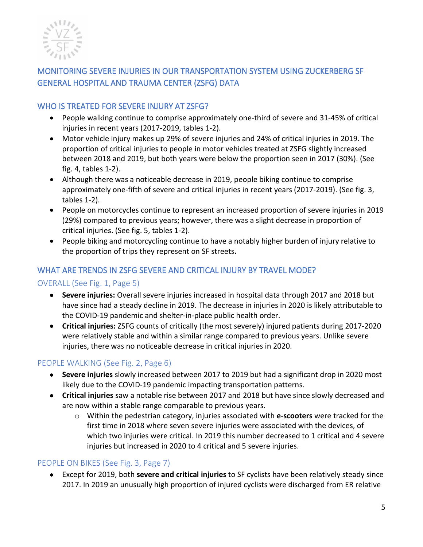

# MONITORING SEVERE INJURIES IN OUR TRANSPORTATION SYSTEM USING ZUCKERBERG SF GENERAL HOSPITAL AND TRAUMA CENTER (ZSFG) DATA

# WHO IS TREATED FOR SEVERE INJURY AT ZSFG?

- People walking continue to comprise approximately one-third of severe and 31-45% of critical injuries in recent years (2017-2019, tables 1-2).
- Motor vehicle injury makes up 29% of severe injuries and 24% of critical injuries in 2019. The proportion of critical injuries to people in motor vehicles treated at ZSFG slightly increased between 2018 and 2019, but both years were below the proportion seen in 2017 (30%). (See fig. 4, tables 1-2).
- Although there was a noticeable decrease in 2019, people biking continue to comprise approximately one-fifth of severe and critical injuries in recent years (2017-2019). (See fig. 3, tables 1-2).
- People on motorcycles continue to represent an increased proportion of severe injuries in 2019 (29%) compared to previous years; however, there was a slight decrease in proportion of critical injuries. (See fig. 5, tables 1-2).
- People biking and motorcycling continue to have a notably higher burden of injury relative to the proportion of trips they represent on SF streets**.**

# WHAT ARE TRENDS IN ZSFG SEVERE AND CRITICAL INJURY BY TRAVEL MODE?

# OVERALL (See Fig. 1, Page 5)

- **Severe injuries:** Overall severe injuries increased in hospital data through 2017 and 2018 but have since had a steady decline in 2019. The decrease in injuries in 2020 is likely attributable to the COVID-19 pandemic and shelter-in-place public health order.
- **Critical injuries:** ZSFG counts of critically (the most severely) injured patients during 2017-2020 were relatively stable and within a similar range compared to previous years. Unlike severe injuries, there was no noticeable decrease in critical injuries in 2020.

# PEOPLE WALKING (See Fig. 2, Page 6)

- **Severe injuries** slowly increased between 2017 to 2019 but had a significant drop in 2020 most likely due to the COVID-19 pandemic impacting transportation patterns.
- **Critical injuries** saw a notable rise between 2017 and 2018 but have since slowly decreased and are now within a stable range comparable to previous years.
	- o Within the pedestrian category, injuries associated with **e-scooters** were tracked for the first time in 2018 where seven severe injuries were associated with the devices, of which two injuries were critical. In 2019 this number decreased to 1 critical and 4 severe injuries but increased in 2020 to 4 critical and 5 severe injuries.

# PEOPLE ON BIKES (See Fig. 3, Page 7)

• Except for 2019, both **severe and critical injuries** to SF cyclists have been relatively steady since 2017. In 2019 an unusually high proportion of injured cyclists were discharged from ER relative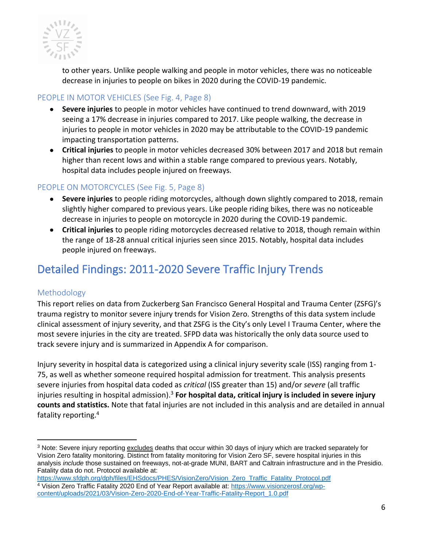

to other years. Unlike people walking and people in motor vehicles, there was no noticeable decrease in injuries to people on bikes in 2020 during the COVID-19 pandemic.

# PEOPLE IN MOTOR VEHICLES (See Fig. 4, Page 8)

- **Severe injuries** to people in motor vehicles have continued to trend downward, with 2019 seeing a 17% decrease in injuries compared to 2017. Like people walking, the decrease in injuries to people in motor vehicles in 2020 may be attributable to the COVID-19 pandemic impacting transportation patterns.
- **Critical injuries** to people in motor vehicles decreased 30% between 2017 and 2018 but remain higher than recent lows and within a stable range compared to previous years. Notably, hospital data includes people injured on freeways.

# PEOPLE ON MOTORCYCLES (See Fig. 5, Page 8)

- **Severe injuries** to people riding motorcycles, although down slightly compared to 2018, remain slightly higher compared to previous years. Like people riding bikes, there was no noticeable decrease in injuries to people on motorcycle in 2020 during the COVID-19 pandemic.
- **Critical injuries** to people riding motorcycles decreased relative to 2018, though remain within the range of 18-28 annual critical injuries seen since 2015. Notably, hospital data includes people injured on freeways.

# Detailed Findings: 2011-2020 Severe Traffic Injury Trends

# Methodology

This report relies on data from Zuckerberg San Francisco General Hospital and Trauma Center (ZSFG)'s trauma registry to monitor severe injury trends for Vision Zero. Strengths of this data system include clinical assessment of injury severity, and that ZSFG is the City's only Level I Trauma Center, where the most severe injuries in the city are treated. SFPD data was historically the only data source used to track severe injury and is summarized in Appendix A for comparison.

Injury severity in hospital data is categorized using a clinical injury severity scale (ISS) ranging from 1- 75, as well as whether someone required hospital admission for treatment. This analysis presents severe injuries from hospital data coded as *critical* (ISS greater than 15) and/or *severe* (all traffic injuries resulting in hospital admission).<sup>3</sup> **For hospital data, critical injury is included in severe injury counts and statistics.** Note that fatal injuries are not included in this analysis and are detailed in annual fatality reporting.<sup>4</sup>

<sup>&</sup>lt;sup>3</sup> Note: Severe injury reporting excludes deaths that occur within 30 days of injury which are tracked separately for Vision Zero fatality monitoring. Distinct from fatality monitoring for Vision Zero SF, severe hospital injuries in this analysis *include* those sustained on freeways, not-at-grade MUNI, BART and Caltrain infrastructure and in the Presidio. Fatality data do not. Protocol available at:

https://www.sfdph.org/dph/files/EHSdocs/PHES/VisionZero/Vision\_Zero\_Traffic\_Fatality\_Protocol.pdf <sup>4</sup> Vision Zero Traffic Fatality 2020 End of Year Report available at: https://www.visionzerosf.org/wpcontent/uploads/2021/03/Vision-Zero-2020-End-of-Year-Traffic-Fatality-Report\_1.0.pdf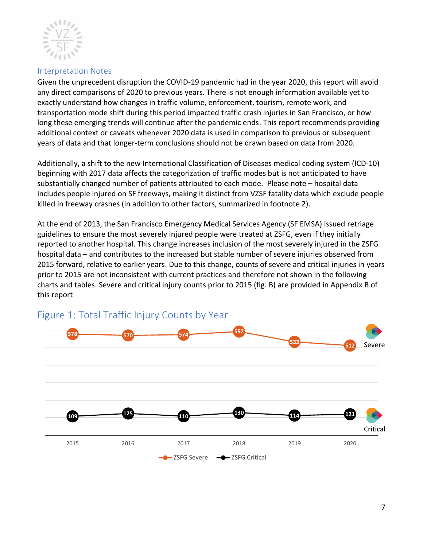

#### Interpretation Notes

Given the unprecedent disruption the COVID-19 pandemic had in the year 2020, this report will avoid any direct comparisons of 2020 to previous years. There is not enough information available yet to exactly understand how changes in traffic volume, enforcement, tourism, remote work, and transportation mode shift during this period impacted traffic crash injuries in San Francisco, or how long these emerging trends will continue after the pandemic ends. This report recommends providing additional context or caveats whenever 2020 data is used in comparison to previous or subsequent years of data and that longer-term conclusions should not be drawn based on data from 2020.

Additionally, a shift to the new International Classification of Diseases medical coding system (ICD-10) beginning with 2017 data affects the categorization of traffic modes but is not anticipated to have substantially changed number of patients attributed to each mode. Please note – hospital data includes people injured on SF freeways, making it distinct from VZSF fatality data which exclude people killed in freeway crashes (in addition to other factors, summarized in footnote 2).

At the end of 2013, the San Francisco Emergency Medical Services Agency (SF EMSA) issued retriage guidelines to ensure the most severely injured people were treated at ZSFG, even if they initially reported to another hospital. This change increases inclusion of the most severely injured in the ZSFG hospital data – and contributes to the increased but stable number of severe injuries observed from 2015 forward, relative to earlier years. Due to this change, counts of severe and critical injuries in years prior to 2015 are not inconsistent with current practices and therefore not shown in the following charts and tables. Severe and critical injury counts prior to 2015 (fig. B) are provided in Appendix B of this report



# Figure 1: Total Traffic Injury Counts by Year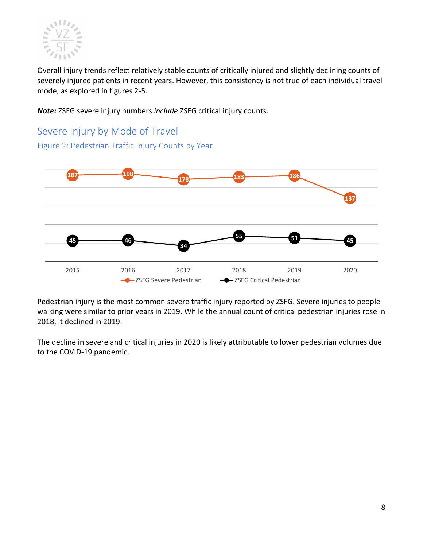

Overall injury trends reflect relatively stable counts of critically injured and slightly declining counts of severely injured patients in recent years. However, this consistency is not true of each individual travel mode, as explored in figures 2-5.

*Note:* ZSFG severe injury numbers *include* ZSFG critical injury counts.

# Severe Injury by Mode of Travel

Figure 2: Pedestrian Traffic Injury Counts by Year



Pedestrian injury is the most common severe traffic injury reported by ZSFG. Severe injuries to people walking were similar to prior years in 2019. While the annual count of critical pedestrian injuries rose in 2018, it declined in 2019.

The decline in severe and critical injuries in 2020 is likely attributable to lower pedestrian volumes due to the COVID-19 pandemic.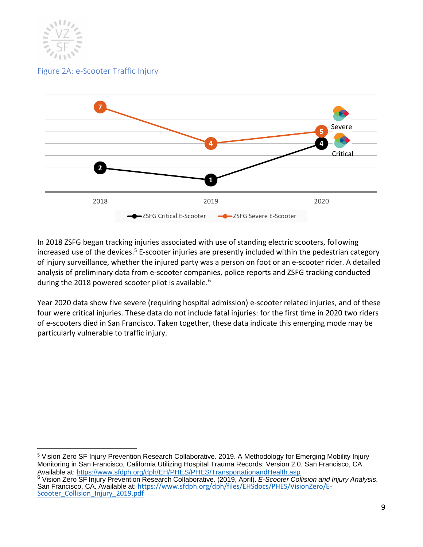

Figure 2A: e-Scooter Traffic Injury



In 2018 ZSFG began tracking injuries associated with use of standing electric scooters, following increased use of the devices.<sup>5</sup> E-scooter injuries are presently included within the pedestrian category of injury surveillance, whether the injured party was a person on foot or an e-scooter rider. A detailed analysis of preliminary data from e-scooter companies, police reports and ZSFG tracking conducted during the 2018 powered scooter pilot is available.<sup>6</sup>

Year 2020 data show five severe (requiring hospital admission) e-scooter related injuries, and of these four were critical injuries. These data do not include fatal injuries: for the first time in 2020 two riders of e-scooters died in San Francisco. Taken together, these data indicate this emerging mode may be particularly vulnerable to traffic injury.

<sup>5</sup> Vision Zero SF Injury Prevention Research Collaborative. 2019. A Methodology for Emerging Mobility Injury Monitoring in San Francisco, California Utilizing Hospital Trauma Records: Version 2.0. San Francisco, CA. Available at: https://www.sfdph.org/dph/EH/PHES/PHES/TransportationandHealth.asp <sup>6</sup> Vision Zero SF Injury Prevention Research Collaborative. (2019, April). *E-Scooter Collision and Injury Analysis.* San Francisco, CA. Available at: https://www.sfdph.org/dph/files/EHSdocs/PHES/VisionZero/E-Scooter Collision Injury 2019.pdf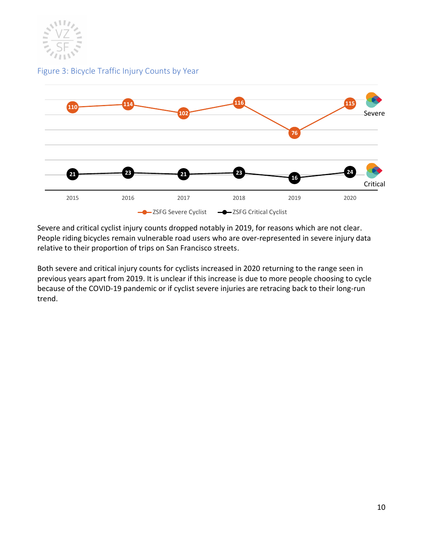

Figure 3: Bicycle Traffic Injury Counts by Year



Severe and critical cyclist injury counts dropped notably in 2019, for reasons which are not clear. People riding bicycles remain vulnerable road users who are over-represented in severe injury data relative to their proportion of trips on San Francisco streets.

Both severe and critical injury counts for cyclists increased in 2020 returning to the range seen in previous years apart from 2019. It is unclear if this increase is due to more people choosing to cycle because of the COVID-19 pandemic or if cyclist severe injuries are retracing back to their long-run trend.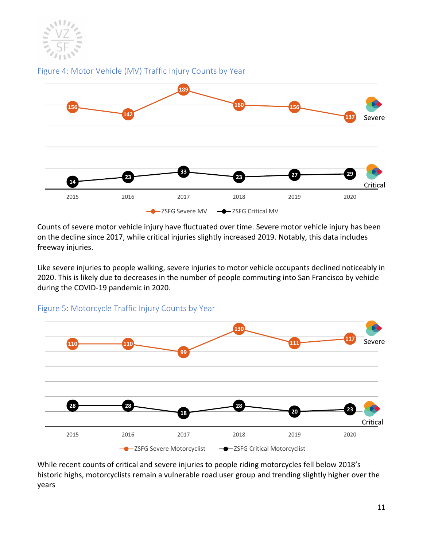

Figure 4: Motor Vehicle (MV) Traffic Injury Counts by Year



Counts of severe motor vehicle injury have fluctuated over time. Severe motor vehicle injury has been on the decline since 2017, while critical injuries slightly increased 2019. Notably, this data includes freeway injuries.

Like severe injuries to people walking, severe injuries to motor vehicle occupants declined noticeably in 2020. This is likely due to decreases in the number of people commuting into San Francisco by vehicle during the COVID-19 pandemic in 2020.



Figure 5: Motorcycle Traffic Injury Counts by Year

While recent counts of critical and severe injuries to people riding motorcycles fell below 2018's historic highs, motorcyclists remain a vulnerable road user group and trending slightly higher over the years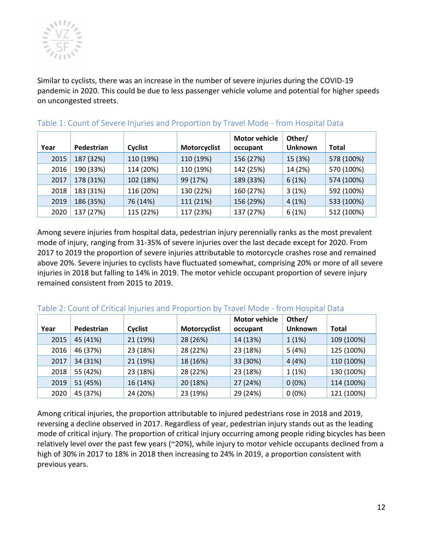

Similar to cyclists, there was an increase in the number of severe injuries during the COVID-19 pandemic in 2020. This could be due to less passenger vehicle volume and potential for higher speeds on uncongested streets.

| Year | Pedestrian | Cyclist   | Motorcyclist | <b>Motor vehicle</b><br>occupant | Other/<br><b>Unknown</b> | Total      |
|------|------------|-----------|--------------|----------------------------------|--------------------------|------------|
| 2015 | 187 (32%)  | 110 (19%) | 110 (19%)    | 156 (27%)                        | 15 (3%)                  | 578 (100%) |
| 2016 | 190 (33%)  | 114 (20%) | 110 (19%)    | 142 (25%)                        | 14 (2%)                  | 570 (100%) |
| 2017 | 178 (31%)  | 102 (18%) | 99 (17%)     | 189 (33%)                        | 6(1%)                    | 574 (100%) |
| 2018 | 183 (31%)  | 116 (20%) | 130 (22%)    | 160 (27%)                        | 3(1%)                    | 592 (100%) |
| 2019 | 186 (35%)  | 76 (14%)  | 111 (21%)    | 156 (29%)                        | 4(1%)                    | 533 (100%) |
| 2020 | 137 (27%)  | 115 (22%) | 117 (23%)    | 137 (27%)                        | 6(1%)                    | 512 (100%) |

#### Table 1: Count of Severe Injuries and Proportion by Travel Mode - from Hospital Data

Among severe injuries from hospital data, pedestrian injury perennially ranks as the most prevalent mode of injury, ranging from 31-35% of severe injuries over the last decade except for 2020. From 2017 to 2019 the proportion of severe injuries attributable to motorcycle crashes rose and remained above 20%. Severe injuries to cyclists have fluctuated somewhat, comprising 20% or more of all severe injuries in 2018 but falling to 14% in 2019. The motor vehicle occupant proportion of severe injury remained consistent from 2015 to 2019.

#### Table 2: Count of Critical Injuries and Proportion by Travel Mode - from Hospital Data

|      |            |          |              | <b>Motor vehicle</b> | Other/         |              |
|------|------------|----------|--------------|----------------------|----------------|--------------|
| Year | Pedestrian | Cyclist  | Motorcyclist | occupant             | <b>Unknown</b> | <b>Total</b> |
| 2015 | 45 (41%)   | 21 (19%) | 28 (26%)     | 14 (13%)             | 1(1%)          | 109 (100%)   |
| 2016 | 46 (37%)   | 23 (18%) | 28 (22%)     | 23 (18%)             | 5(4%)          | 125 (100%)   |
| 2017 | 34 (31%)   | 21 (19%) | 18 (16%)     | 33 (30%)             | 4(4%)          | 110 (100%)   |
| 2018 | 55 (42%)   | 23 (18%) | 28 (22%)     | 23 (18%)             | 1(1%)          | 130 (100%)   |
| 2019 | 51 (45%)   | 16 (14%) | 20 (18%)     | 27 (24%)             | $0(0\%)$       | 114 (100%)   |
| 2020 | 45 (37%)   | 24 (20%) | 23 (19%)     | 29 (24%)             | $0(0\%)$       | 121 (100%)   |

Among critical injuries, the proportion attributable to injured pedestrians rose in 2018 and 2019, reversing a decline observed in 2017. Regardless of year, pedestrian injury stands out as the leading mode of critical injury. The proportion of critical injury occurring among people riding bicycles has been relatively level over the past few years (~20%), while injury to motor vehicle occupants declined from a high of 30% in 2017 to 18% in 2018 then increasing to 24% in 2019, a proportion consistent with previous years.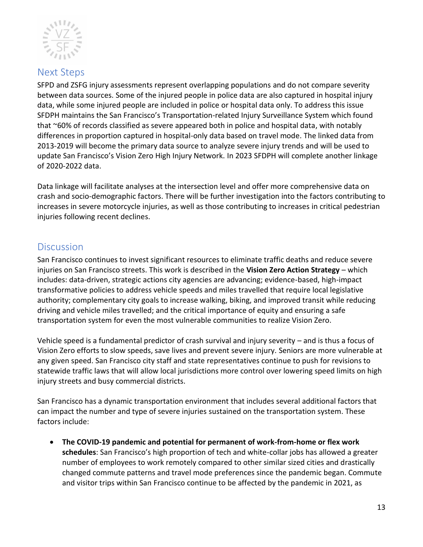

# Next Steps

SFPD and ZSFG injury assessments represent overlapping populations and do not compare severity between data sources. Some of the injured people in police data are also captured in hospital injury data, while some injured people are included in police or hospital data only. To address this issue SFDPH maintains the San Francisco's Transportation-related Injury Surveillance System which found that ~60% of records classified as severe appeared both in police and hospital data, with notably differences in proportion captured in hospital-only data based on travel mode. The linked data from 2013-2019 will become the primary data source to analyze severe injury trends and will be used to update San Francisco's Vision Zero High Injury Network. In 2023 SFDPH will complete another linkage of 2020-2022 data.

Data linkage will facilitate analyses at the intersection level and offer more comprehensive data on crash and socio-demographic factors. There will be further investigation into the factors contributing to increases in severe motorcycle injuries, as well as those contributing to increases in critical pedestrian injuries following recent declines.

# **Discussion**

San Francisco continues to invest significant resources to eliminate traffic deaths and reduce severe injuries on San Francisco streets. This work is described in the **Vision Zero Action Strategy** – which includes: data-driven, strategic actions city agencies are advancing; evidence-based, high-impact transformative policies to address vehicle speeds and miles travelled that require local legislative authority; complementary city goals to increase walking, biking, and improved transit while reducing driving and vehicle miles travelled; and the critical importance of equity and ensuring a safe transportation system for even the most vulnerable communities to realize Vision Zero.

Vehicle speed is a fundamental predictor of crash survival and injury severity – and is thus a focus of Vision Zero efforts to slow speeds, save lives and prevent severe injury. Seniors are more vulnerable at any given speed. San Francisco city staff and state representatives continue to push for revisions to statewide traffic laws that will allow local jurisdictions more control over lowering speed limits on high injury streets and busy commercial districts.

San Francisco has a dynamic transportation environment that includes several additional factors that can impact the number and type of severe injuries sustained on the transportation system. These factors include:

• **The COVID-19 pandemic and potential for permanent of work-from-home or flex work schedules**: San Francisco's high proportion of tech and white-collar jobs has allowed a greater number of employees to work remotely compared to other similar sized cities and drastically changed commute patterns and travel mode preferences since the pandemic began. Commute and visitor trips within San Francisco continue to be affected by the pandemic in 2021, as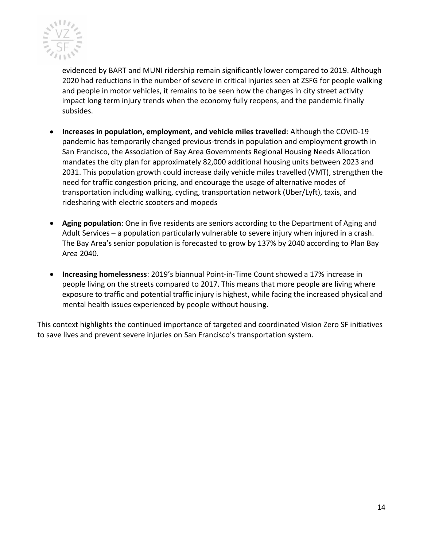

evidenced by BART and MUNI ridership remain significantly lower compared to 2019. Although 2020 had reductions in the number of severe in critical injuries seen at ZSFG for people walking and people in motor vehicles, it remains to be seen how the changes in city street activity impact long term injury trends when the economy fully reopens, and the pandemic finally subsides.

- **Increases in population, employment, and vehicle miles travelled**: Although the COVID-19 pandemic has temporarily changed previous-trends in population and employment growth in San Francisco, the Association of Bay Area Governments Regional Housing Needs Allocation mandates the city plan for approximately 82,000 additional housing units between 2023 and 2031. This population growth could increase daily vehicle miles travelled (VMT), strengthen the need for traffic congestion pricing, and encourage the usage of alternative modes of transportation including walking, cycling, transportation network (Uber/Lyft), taxis, and ridesharing with electric scooters and mopeds
- **Aging population**: One in five residents are seniors according to the Department of Aging and Adult Services – a population particularly vulnerable to severe injury when injured in a crash. The Bay Area's senior population is forecasted to grow by 137% by 2040 according to Plan Bay Area 2040.
- **Increasing homelessness**: 2019's biannual Point-in-Time Count showed a 17% increase in people living on the streets compared to 2017. This means that more people are living where exposure to traffic and potential traffic injury is highest, while facing the increased physical and mental health issues experienced by people without housing.

This context highlights the continued importance of targeted and coordinated Vision Zero SF initiatives to save lives and prevent severe injuries on San Francisco's transportation system.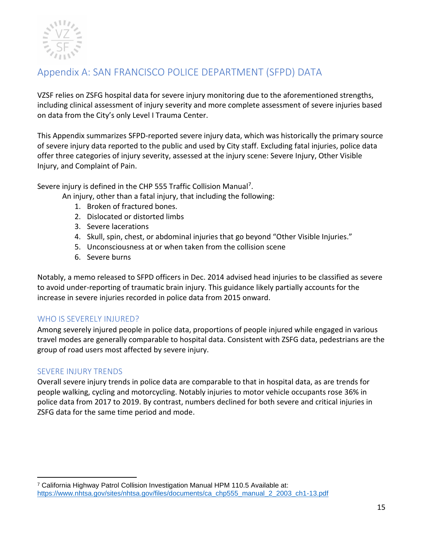

# Appendix A: SAN FRANCISCO POLICE DEPARTMENT (SFPD) DATA

VZSF relies on ZSFG hospital data for severe injury monitoring due to the aforementioned strengths, including clinical assessment of injury severity and more complete assessment of severe injuries based on data from the City's only Level I Trauma Center.

This Appendix summarizes SFPD-reported severe injury data, which was historically the primary source of severe injury data reported to the public and used by City staff. Excluding fatal injuries, police data offer three categories of injury severity, assessed at the injury scene: Severe Injury, Other Visible Injury, and Complaint of Pain.

Severe injury is defined in the CHP 555 Traffic Collision Manual<sup>7</sup>.

An injury, other than a fatal injury, that including the following:

- 1. Broken of fractured bones.
- 2. Dislocated or distorted limbs
- 3. Severe lacerations
- 4. Skull, spin, chest, or abdominal injuries that go beyond "Other Visible Injuries."
- 5. Unconsciousness at or when taken from the collision scene
- 6. Severe burns

Notably, a memo released to SFPD officers in Dec. 2014 advised head injuries to be classified as severe to avoid under-reporting of traumatic brain injury. This guidance likely partially accounts for the increase in severe injuries recorded in police data from 2015 onward.

# WHO IS SEVERELY INJURED?

Among severely injured people in police data, proportions of people injured while engaged in various travel modes are generally comparable to hospital data. Consistent with ZSFG data, pedestrians are the group of road users most affected by severe injury.

# SEVERE INJURY TRENDS

Overall severe injury trends in police data are comparable to that in hospital data, as are trends for people walking, cycling and motorcycling. Notably injuries to motor vehicle occupants rose 36% in police data from 2017 to 2019. By contrast, numbers declined for both severe and critical injuries in ZSFG data for the same time period and mode.

<sup>7</sup> California Highway Patrol Collision Investigation Manual HPM 110.5 Available at: https://www.nhtsa.gov/sites/nhtsa.gov/files/documents/ca\_chp555\_manual\_2\_2003\_ch1-13.pdf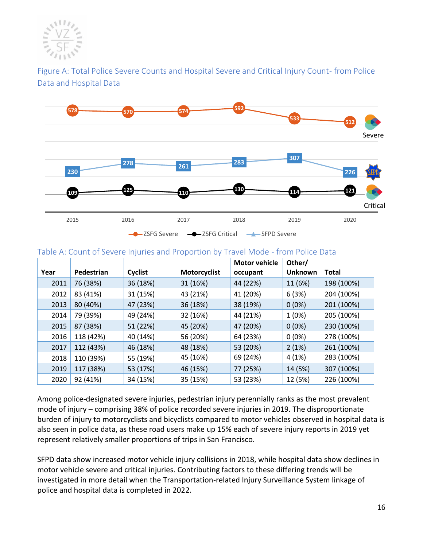

Figure A: Total Police Severe Counts and Hospital Severe and Critical Injury Count- from Police Data and Hospital Data



#### Table A: Count of Severe Injuries and Proportion by Travel Mode - from Police Data

|      |            |          |                     | <b>Motor vehicle</b> | Other/         |              |
|------|------------|----------|---------------------|----------------------|----------------|--------------|
| Year | Pedestrian | Cyclist  | <b>Motorcyclist</b> | occupant             | <b>Unknown</b> | <b>Total</b> |
| 2011 | 76 (38%)   | 36 (18%) | 31 (16%)            | 44 (22%)             | 11 (6%)        | 198 (100%)   |
| 2012 | 83 (41%)   | 31 (15%) | 43 (21%)            | 41 (20%)             | 6(3%)          | 204 (100%)   |
| 2013 | 80 (40%)   | 47 (23%) | 36 (18%)            | 38 (19%)             | $0(0\%)$       | 201 (100%)   |
| 2014 | 79 (39%)   | 49 (24%) | 32 (16%)            | 44 (21%)             | 1(0%)          | 205 (100%)   |
| 2015 | 87 (38%)   | 51 (22%) | 45 (20%)            | 47 (20%)             | $0(0\%)$       | 230 (100%)   |
| 2016 | 118 (42%)  | 40 (14%) | 56 (20%)            | 64 (23%)             | $0(0\%)$       | 278 (100%)   |
| 2017 | 112 (43%)  | 46 (18%) | 48 (18%)            | 53 (20%)             | 2(1%)          | 261 (100%)   |
| 2018 | 110 (39%)  | 55 (19%) | 45 (16%)            | 69 (24%)             | 4 (1%)         | 283 (100%)   |
| 2019 | 117 (38%)  | 53 (17%) | 46 (15%)            | 77 (25%)             | 14 (5%)        | 307 (100%)   |
| 2020 | 92 (41%)   | 34 (15%) | 35 (15%)            | 53 (23%)             | 12 (5%)        | 226 (100%)   |

Among police-designated severe injuries, pedestrian injury perennially ranks as the most prevalent mode of injury – comprising 38% of police recorded severe injuries in 2019. The disproportionate burden of injury to motorcyclists and bicyclists compared to motor vehicles observed in hospital data is also seen in police data, as these road users make up 15% each of severe injury reports in 2019 yet represent relatively smaller proportions of trips in San Francisco.

SFPD data show increased motor vehicle injury collisions in 2018, while hospital data show declines in motor vehicle severe and critical injuries. Contributing factors to these differing trends will be investigated in more detail when the Transportation-related Injury Surveillance System linkage of police and hospital data is completed in 2022.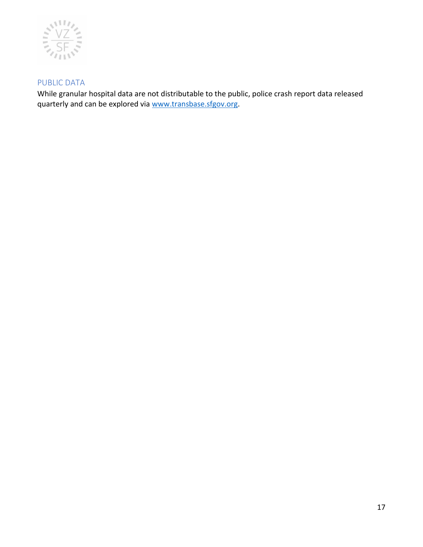

# PUBLIC DATA

While granular hospital data are not distributable to the public, police crash report data released quarterly and can be explored via www.transbase.sfgov.org.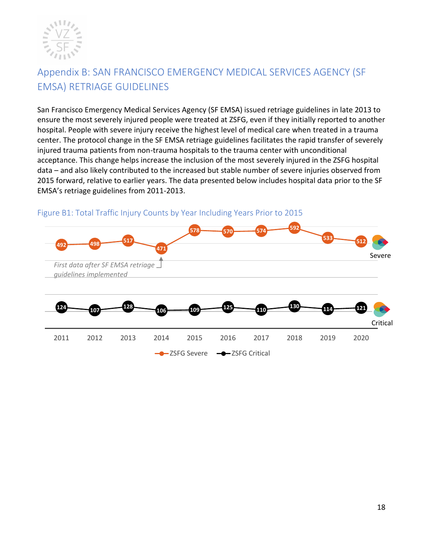

# Appendix B: SAN FRANCISCO EMERGENCY MEDICAL SERVICES AGENCY (SF EMSA) RETRIAGE GUIDELINES

San Francisco Emergency Medical Services Agency (SF EMSA) issued retriage guidelines in late 2013 to ensure the most severely injured people were treated at ZSFG, even if they initially reported to another hospital. People with severe injury receive the highest level of medical care when treated in a trauma center. The protocol change in the SF EMSA retriage guidelines facilitates the rapid transfer of severely injured trauma patients from non-trauma hospitals to the trauma center with unconditional acceptance. This change helps increase the inclusion of the most severely injured in the ZSFG hospital data – and also likely contributed to the increased but stable number of severe injuries observed from 2015 forward, relative to earlier years. The data presented below includes hospital data prior to the SF EMSA's retriage guidelines from 2011-2013.



# Figure B1: Total Traffic Injury Counts by Year Including Years Prior to 2015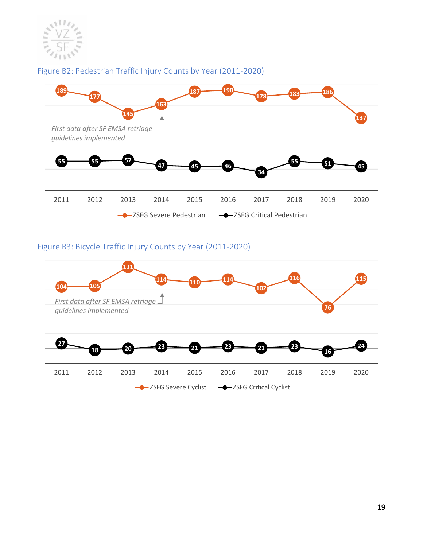

# Figure B2: Pedestrian Traffic Injury Counts by Year (2011-2020)



# Figure B3: Bicycle Traffic Injury Counts by Year (2011-2020)

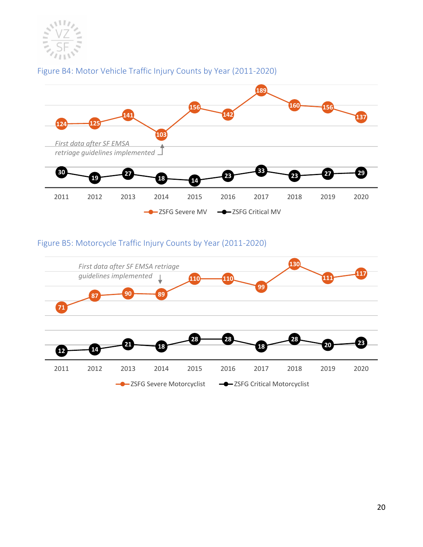

## Figure B4: Motor Vehicle Traffic Injury Counts by Year (2011-2020)



## Figure B5: Motorcycle Traffic Injury Counts by Year (2011-2020)